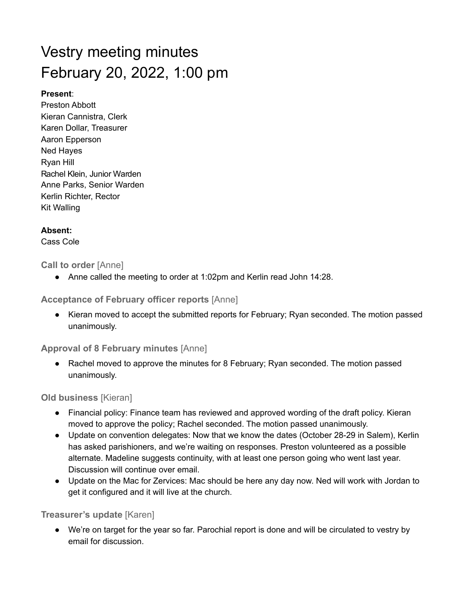# Vestry meeting minutes February 20, 2022, 1:00 pm

### **Present**:

Preston Abbott Kieran Cannistra, Clerk Karen Dollar, Treasurer Aaron Epperson Ned Hayes Ryan Hill Anne Parks, Senior Warden Kerlin Richter, Rector Kit Walling Rachel Klein, Junior Warden

## **Absent:**

Cass Cole

# **Call to order** [Anne]

● Anne called the meeting to order at 1:02pm and Kerlin read John 14:28.

**Acceptance of February officer reports** [Anne]

● Kieran moved to accept the submitted reports for February; Ryan seconded. The motion passed unanimously.

**Approval of 8 February minutes** [Anne]

● Rachel moved to approve the minutes for 8 February; Ryan seconded. The motion passed unanimously.

**Old business** [Kieran]

- Financial policy: Finance team has reviewed and approved wording of the draft policy. Kieran moved to approve the policy; Rachel seconded. The motion passed unanimously.
- Update on convention delegates: Now that we know the dates (October 28-29 in Salem), Kerlin has asked parishioners, and we're waiting on responses. Preston volunteered as a possible alternate. Madeline suggests continuity, with at least one person going who went last year. Discussion will continue over email.
- Update on the Mac for Zervices: Mac should be here any day now. Ned will work with Jordan to get it configured and it will live at the church.

# **Treasurer's update** [Karen]

● We're on target for the year so far. Parochial report is done and will be circulated to vestry by email for discussion.